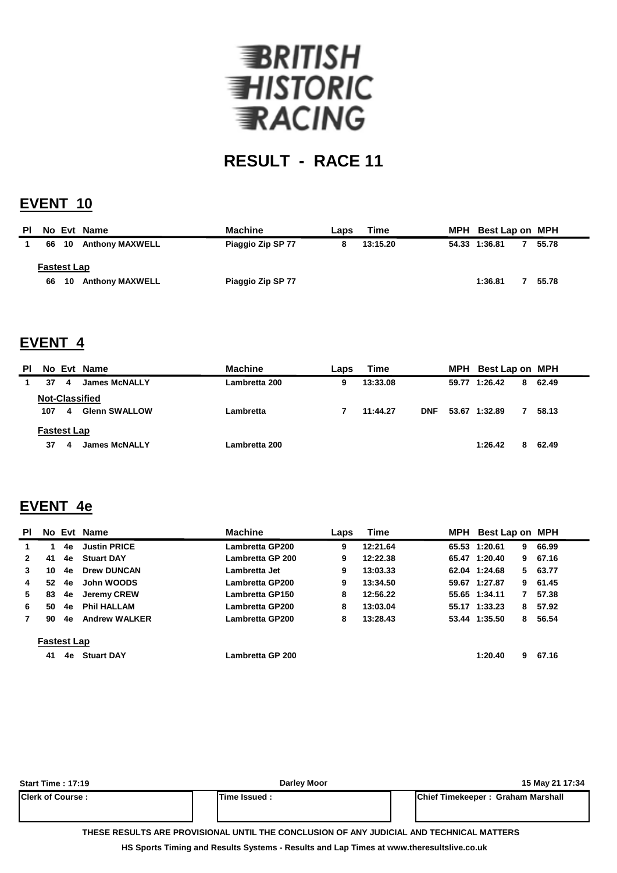

# **RESULT - RACE 11**

#### **EVENT 10**

| PL |                    |     | No Evt Name            | <b>Machine</b>    | Laps | Time     | MPH Best Lap on MPH |       |
|----|--------------------|-----|------------------------|-------------------|------|----------|---------------------|-------|
|    | 66 10              |     | <b>Anthony MAXWELL</b> | Piaggio Zip SP 77 |      | 13:15.20 | 54.33 1:36.81       | 55.78 |
|    | <b>Fastest Lap</b> |     |                        |                   |      |          |                     |       |
|    | 66                 | -10 | <b>Anthony MAXWELL</b> | Piaggio Zip SP 77 |      |          | 1:36.81             | 55.78 |

#### **EVENT 4**

| PI.                   |     |   | No Evt Name          | <b>Machine</b> | Laps | Time     |            |  | MPH Best Lap on MPH |   |       |
|-----------------------|-----|---|----------------------|----------------|------|----------|------------|--|---------------------|---|-------|
|                       | 37  | 4 | <b>James McNALLY</b> | Lambretta 200  | 9    | 13:33.08 |            |  | 59.77 1:26.42       | 8 | 62.49 |
| <b>Not-Classified</b> |     |   |                      |                |      |          |            |  |                     |   |       |
|                       | 107 | 4 | <b>Glenn SWALLOW</b> | Lambretta      |      | 11:44.27 | <b>DNF</b> |  | 53.67 1:32.89       | 7 | 58.13 |
| <b>Fastest Lap</b>    |     |   |                      |                |      |          |            |  |                     |   |       |
|                       | 37  | 4 | <b>James McNALLY</b> | Lambretta 200  |      |          |            |  | 1:26.42             | 8 | 62.49 |

## **EVENT 4e**

| <b>PI</b>          |    |    | No Evt Name          | <b>Machine</b>         | Laps | Time     | MPH | Best Lap on MPH |    |         |
|--------------------|----|----|----------------------|------------------------|------|----------|-----|-----------------|----|---------|
| 1.                 |    | 4e | <b>Justin PRICE</b>  | Lambretta GP200        | 9    | 12:21.64 |     | 65.53 1:20.61   | 9. | 66.99   |
| $\mathbf{2}$       | 41 | 4e | <b>Stuart DAY</b>    | Lambretta GP 200       | 9    | 12:22.38 |     | 65.47 1:20.40   |    | 9 67.16 |
| 3                  | 10 | 4e | <b>Drew DUNCAN</b>   | Lambretta Jet          | 9    | 13:03.33 |     | 62.04 1:24.68   |    | 5 63.77 |
| 4                  | 52 | 4e | John WOODS           | Lambretta GP200        | 9    | 13:34.50 |     | 59.67 1:27.87   |    | 9 61.45 |
| 5                  | 83 | 4e | Jeremy CREW          | <b>Lambretta GP150</b> | 8    | 12:56.22 |     | 55.65 1:34.11   | 7  | 57.38   |
| 6                  | 50 | 4e | <b>Phil HALLAM</b>   | Lambretta GP200        | 8    | 13:03.04 |     | 55.17 1:33.23   | 8  | 57.92   |
| 7                  | 90 | 4e | <b>Andrew WALKER</b> | Lambretta GP200        | 8    | 13:28.43 |     | 53.44 1:35.50   | 8. | 56.54   |
| <b>Fastest Lap</b> |    |    |                      |                        |      |          |     |                 |    |         |
|                    | 41 | 4e | <b>Stuart DAY</b>    | Lambretta GP 200       |      |          |     | 1:20.40         | 9  | 67.16   |

| <b>Start Time: 17:19</b> | <b>Darley Moor</b>                                                                       | 15 May 21 17:34                           |
|--------------------------|------------------------------------------------------------------------------------------|-------------------------------------------|
| <b>Clerk of Course:</b>  | lTime Issued :                                                                           | <b>IChief Timekeeper: Graham Marshall</b> |
|                          | THESE RESULTS ARE PROVISIONAL UNTIL THE CONCLUSION OF ANY JUDICIAL AND TECHNICAL MATTERS |                                           |

**HS Sports Timing and Results Systems - Results and Lap Times at www.theresultslive.co.uk**